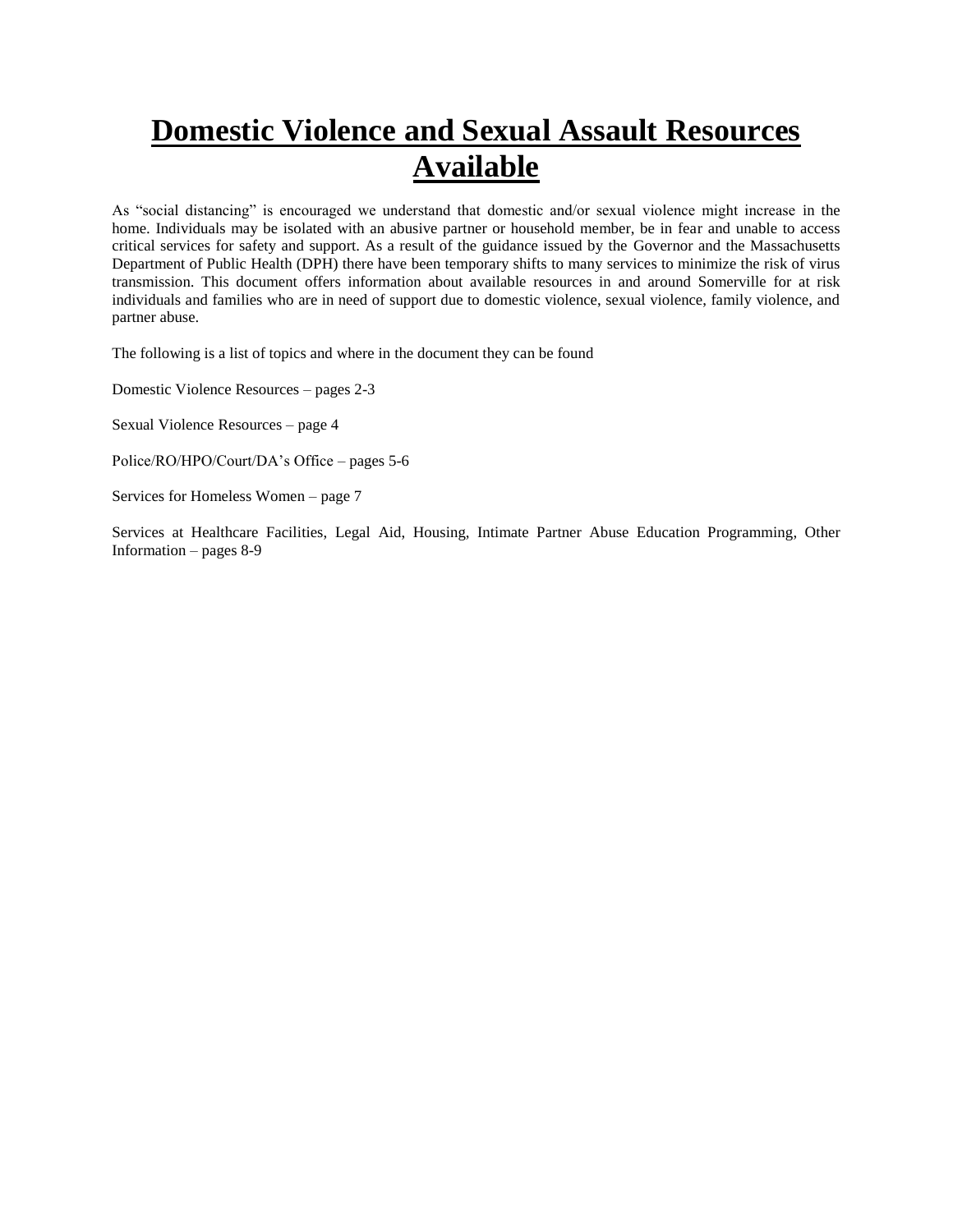# **Domestic Violence and Sexual Assault Resources Available**

As "social distancing" is encouraged we understand that domestic and/or sexual violence might increase in the home. Individuals may be isolated with an abusive partner or household member, be in fear and unable to access critical services for safety and support. As a result of the guidance issued by the Governor and the Massachusetts Department of Public Health (DPH) there have been temporary shifts to many services to minimize the risk of virus transmission. This document offers information about available resources in and around Somerville for at risk individuals and families who are in need of support due to domestic violence, sexual violence, family violence, and partner abuse.

The following is a list of topics and where in the document they can be found

Domestic Violence Resources – pages 2-3

Sexual Violence Resources – page 4

Police/RO/HPO/Court/DA's Office – pages 5-6

Services for Homeless Women – page 7

Services at Healthcare Facilities, Legal Aid, Housing, Intimate Partner Abuse Education Programming, Other Information – pages  $8-9$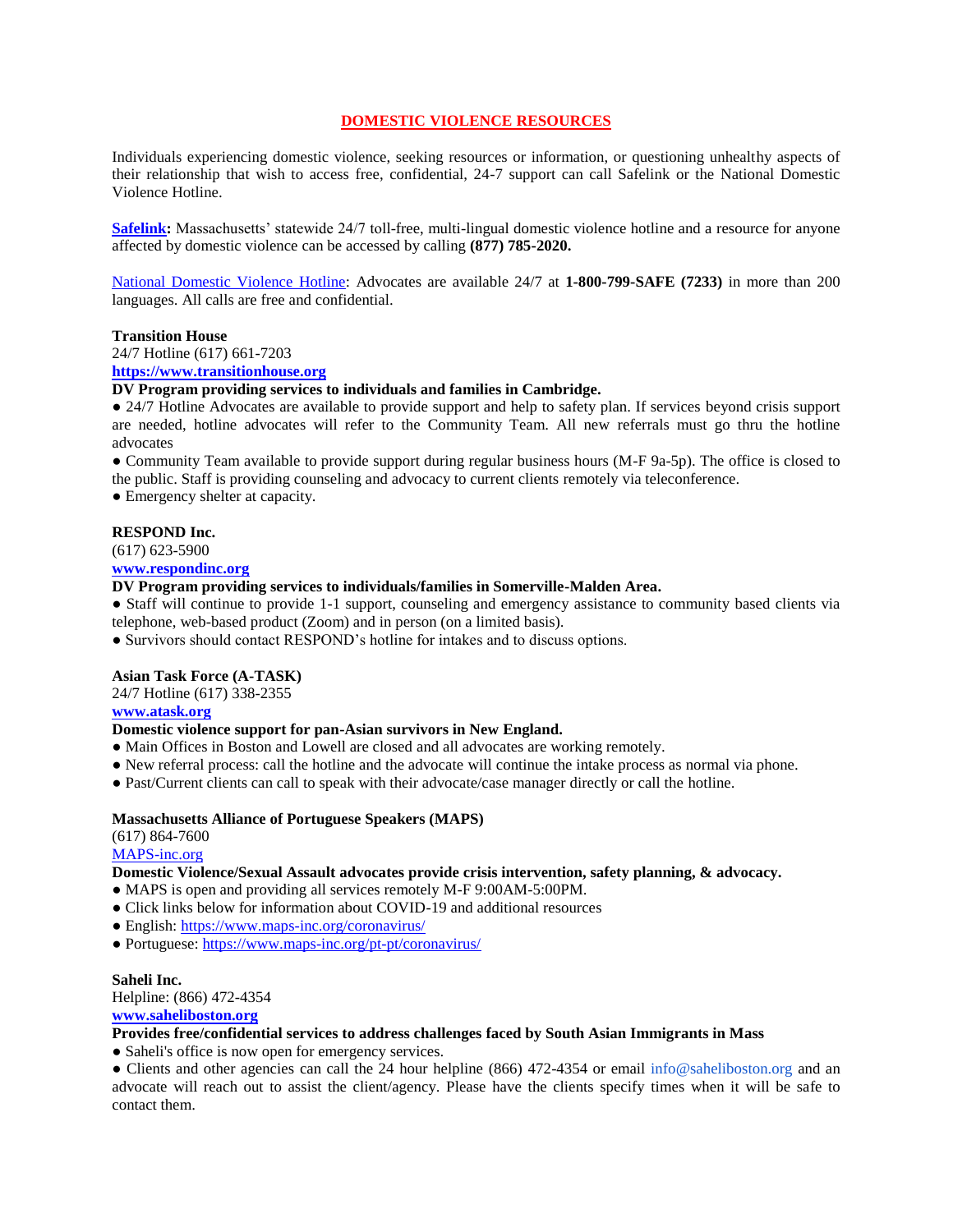# **DOMESTIC VIOLENCE RESOURCES**

Individuals experiencing domestic violence, seeking resources or information, or questioning unhealthy aspects of their relationship that wish to access free, confidential, 24-7 support can call Safelink or the National Domestic Violence Hotline.

**[Safelink:](https://www.casamyrna.org/get-support/safelink/)** Massachusetts' statewide 24/7 toll-free, multi-lingual domestic violence hotline and a resource for anyone affected by domestic violence can be accessed by calling **(877) 785-2020.**

[National Domestic Violence Hotline:](https://www.thehotline.org/help/) Advocates are available 24/7 at **1-800-799-SAFE (7233)** in more than 200 languages. All calls are free and confidential.

#### **Transition House**

24/7 Hotline (617) 661-7203

#### **[https://www.transitionhouse.org](https://www.transitionhouse.org/)**

**DV Program providing services to individuals and families in Cambridge.**

• 24/7 Hotline Advocates are available to provide support and help to safety plan. If services beyond crisis support are needed, hotline advocates will refer to the Community Team. All new referrals must go thru the hotline advocates

● Community Team available to provide support during regular business hours (M-F 9a-5p). The office is closed to the public. Staff is providing counseling and advocacy to current clients remotely via teleconference.

● Emergency shelter at capacity.

# **RESPOND Inc.**

(617) 623-5900

# **[www.respondinc.org](https://www.respondinc.org/)**

# **DV Program providing services to individuals/families in Somerville-Malden Area.**

● Staff will continue to provide 1-1 support, counseling and emergency assistance to community based clients via telephone, web-based product (Zoom) and in person (on a limited basis).

● Survivors should contact RESPOND's hotline for intakes and to discuss options.

#### **Asian Task Force (A-TASK)**

24/7 Hotline (617) 338-2355

# **[www.atask.org](https://www.atask.org/)**

#### **Domestic violence support for pan-Asian survivors in New England.**

- Main Offices in Boston and Lowell are closed and all advocates are working remotely.
- New referral process: call the hotline and the advocate will continue the intake process as normal via phone.
- Past/Current clients can call to speak with their advocate/case manager directly or call the hotline.

#### **Massachusetts Alliance of Portuguese Speakers (MAPS)**

(617) 864-7600

#### [MAPS-inc.org](https://www.maps-inc.org/cause/domestic-violence-sexual-assault-advocacy/)

# **Domestic Violence/Sexual Assault advocates provide crisis intervention, safety planning, & advocacy.**

- MAPS is open and providing all services remotely M-F 9:00AM-5:00PM.
- Click links below for information about COVID-19 and additional resources
- English:<https://www.maps-inc.org/coronavirus/>
- Portuguese:<https://www.maps-inc.org/pt-pt/coronavirus/>

#### **Saheli Inc.**

Helpline: (866) 472-4354

#### **[www.saheliboston.org](https://www.saheliboston.org/)**

# **Provides free/confidential services to address challenges faced by South Asian Immigrants in Mass**

● Saheli's office is now open for emergency services.

• Clients and other agencies can call the 24 hour helpline (866) 472-4354 or email info@saheliboston.org and an advocate will reach out to assist the client/agency. Please have the clients specify times when it will be safe to contact them.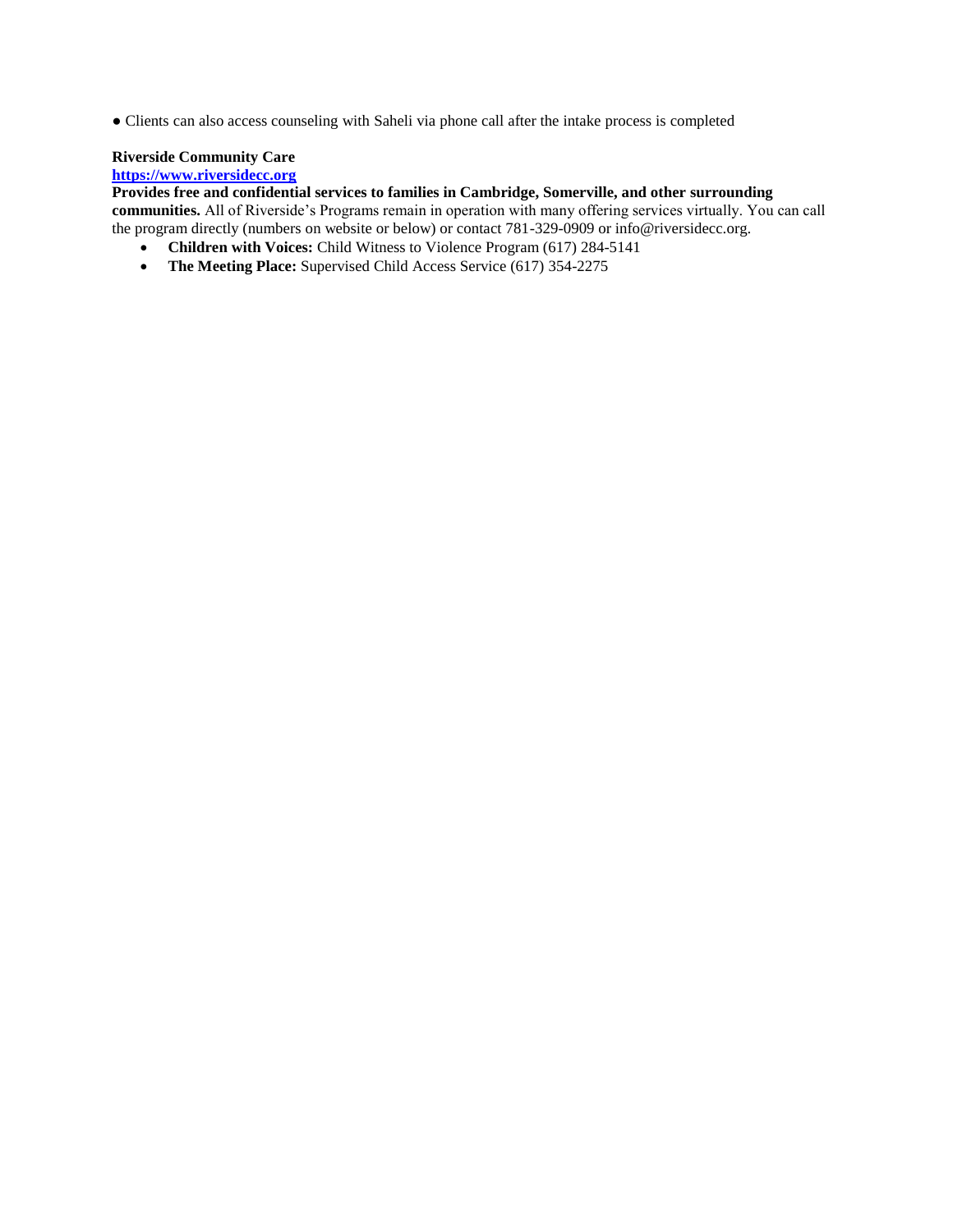● Clients can also access counseling with Saheli via phone call after the intake process is completed

# **Riverside Community Care**

# **[https://www.riversidecc.org](https://www.riversidecc.org/)**

**Provides free and confidential services to families in Cambridge, Somerville, and other surrounding communities.** All of Riverside's Programs remain in operation with many offering services virtually. You can call the program directly (numbers on website or below) or contact 781-329-0909 or info@riversidecc.org.

- **Children with Voices:** Child Witness to Violence Program (617) 284-5141
- The Meeting Place: Supervised Child Access Service (617) 354-2275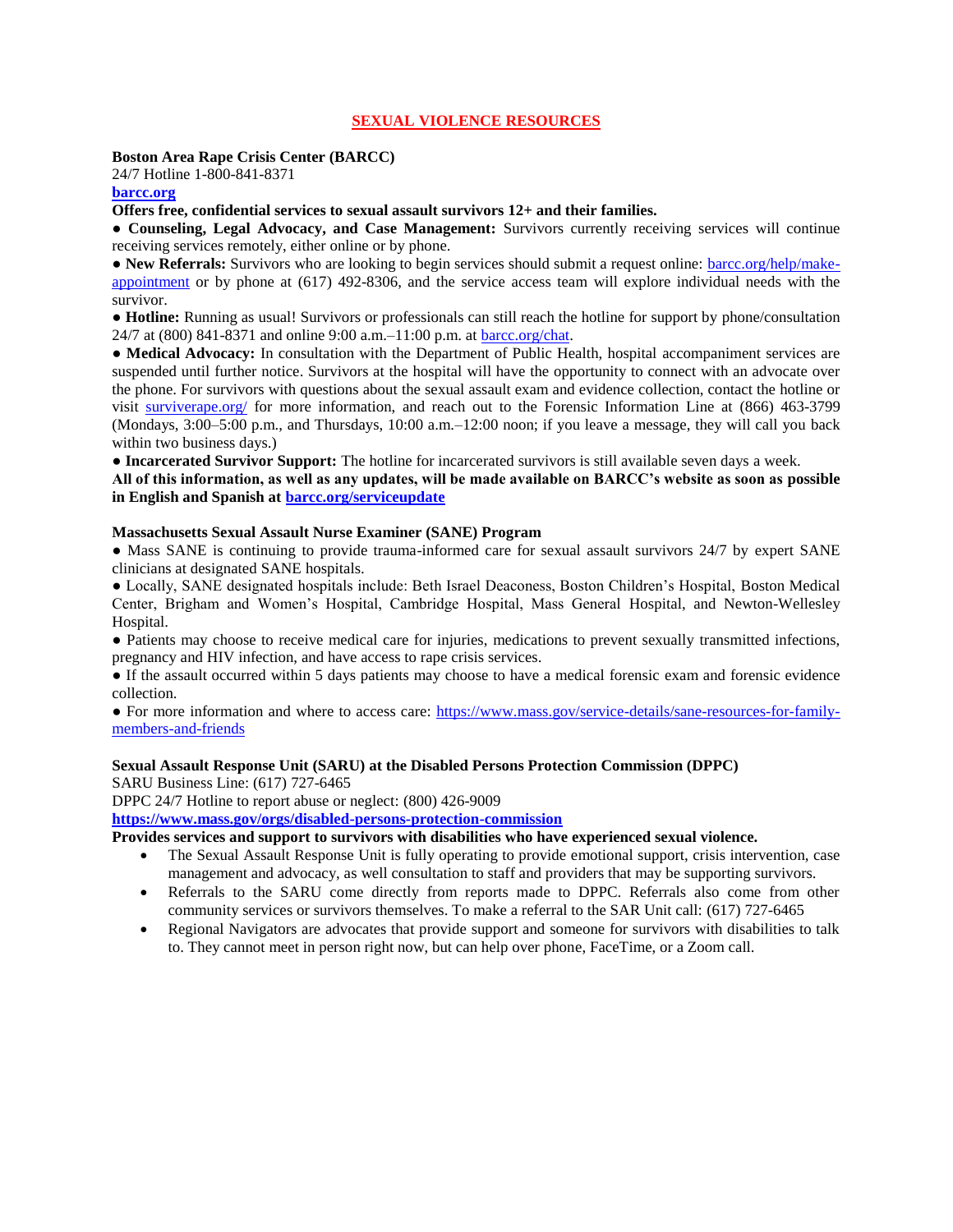# **SEXUAL VIOLENCE RESOURCES**

#### **Boston Area Rape Crisis Center (BARCC)**

24/7 Hotline 1-800-841-8371

#### **[barcc.org](https://barcc.org/)**

#### **Offers free, confidential services to sexual assault survivors 12+ and their families.**

● **Counseling, Legal Advocacy, and Case Management:** Survivors currently receiving services will continue receiving services remotely, either online or by phone.

● **New Referrals:** Survivors who are looking to begin services should submit a request online: [barcc.org/help/make](https://barcc.org/help/make-appointment)[appointment](https://barcc.org/help/make-appointment) or by phone at (617) 492-8306, and the service access team will explore individual needs with the survivor.

● **Hotline:** Running as usual! Survivors or professionals can still reach the hotline for support by phone/consultation 24/7 at (800) 841-8371 and online 9:00 a.m.–11:00 p.m. at [barcc.org/chat.](https://barcc.org/chat)

• **Medical Advocacy:** In consultation with the Department of Public Health, hospital accompaniment services are suspended until further notice. Survivors at the hospital will have the opportunity to connect with an advocate over the phone. For survivors with questions about the sexual assault exam and evidence collection, contact the hotline or visit [surviverape.org/](https://surviverape.org/) for more information, and reach out to the Forensic Information Line at (866) 463-3799 (Mondays, 3:00–5:00 p.m., and Thursdays, 10:00 a.m.–12:00 noon; if you leave a message, they will call you back within two business days.)

● **Incarcerated Survivor Support:** The hotline for incarcerated survivors is still available seven days a week.

**All of this information, as well as any updates, will be made available on BARCC's website as soon as possible in English and Spanish at [barcc.org/serviceupdate](https://barcc.org/serviceupdate)**

#### **Massachusetts Sexual Assault Nurse Examiner (SANE) Program**

• Mass SANE is continuing to provide trauma-informed care for sexual assault survivors 24/7 by expert SANE clinicians at designated SANE hospitals.

● Locally, SANE designated hospitals include: Beth Israel Deaconess, Boston Children's Hospital, Boston Medical Center, Brigham and Women's Hospital, Cambridge Hospital, Mass General Hospital, and Newton-Wellesley Hospital.

● Patients may choose to receive medical care for injuries, medications to prevent sexually transmitted infections, pregnancy and HIV infection, and have access to rape crisis services.

● If the assault occurred within 5 days patients may choose to have a medical forensic exam and forensic evidence collection.

● For more information and where to access care: [https://www.mass.gov/service-details/sane-resources-for-family](https://www.mass.gov/service-details/sane-resources-for-family-members-and-friends)[members-and-friends](https://www.mass.gov/service-details/sane-resources-for-family-members-and-friends)

#### **Sexual Assault Response Unit (SARU) at the Disabled Persons Protection Commission (DPPC)**

SARU Business Line: (617) 727-6465

DPPC 24/7 Hotline to report abuse or neglect: (800) 426-9009

**<https://www.mass.gov/orgs/disabled-persons-protection-commission>**

**Provides services and support to survivors with disabilities who have experienced sexual violence.**

- The Sexual Assault Response Unit is fully operating to provide emotional support, crisis intervention, case management and advocacy, as well consultation to staff and providers that may be supporting survivors.
- Referrals to the SARU come directly from reports made to DPPC. Referrals also come from other community services or survivors themselves. To make a referral to the SAR Unit call: (617) 727-6465
- Regional Navigators are advocates that provide support and someone for survivors with disabilities to talk to. They cannot meet in person right now, but can help over phone, FaceTime, or a Zoom call.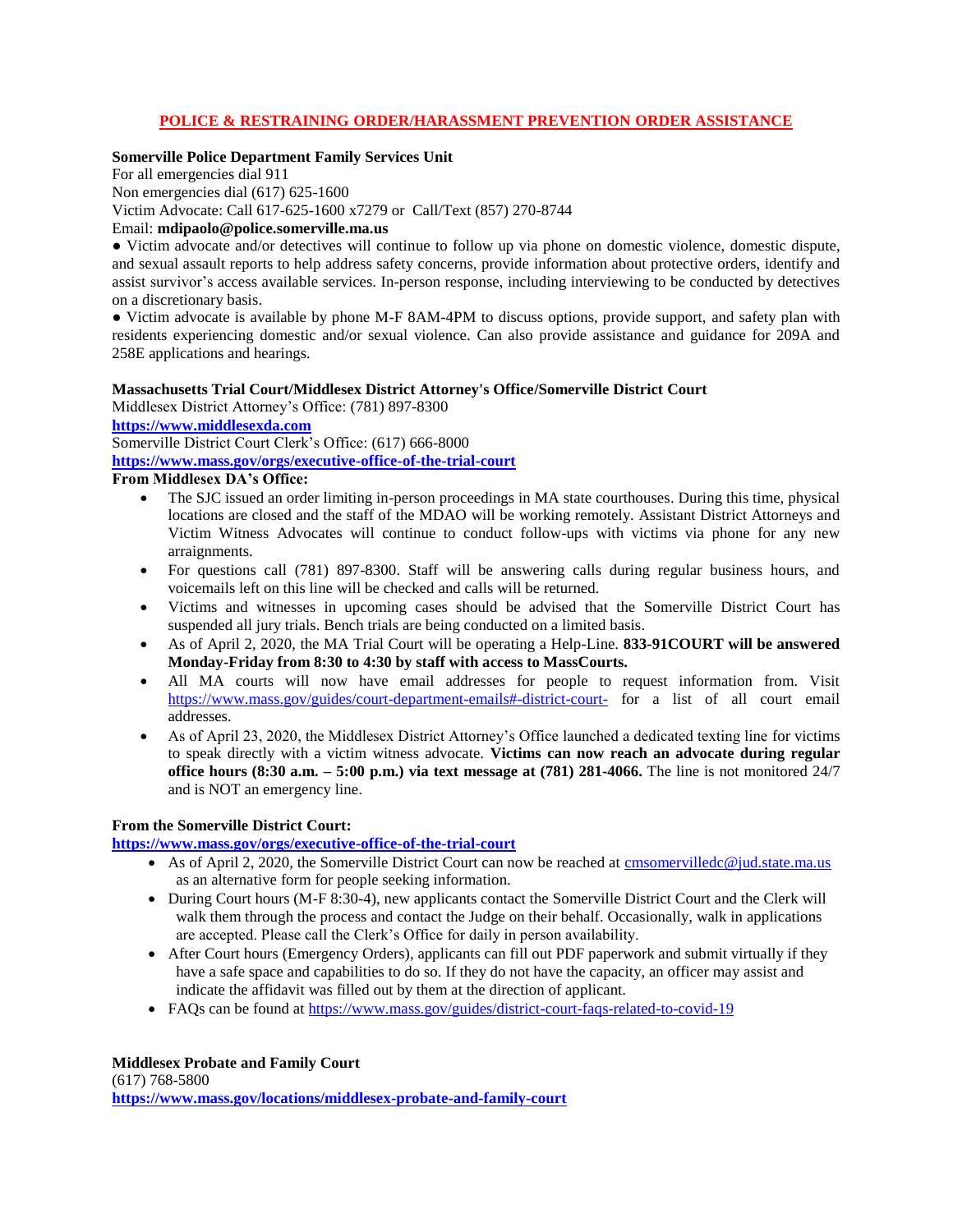# **POLICE & RESTRAINING ORDER/HARASSMENT PREVENTION ORDER ASSISTANCE**

# **Somerville Police Department Family Services Unit**

For all emergencies dial 911 Non emergencies dial (617) 625-1600 Victim Advocate: Call 617-625-1600 x7279 or Call/Text (857) 270-8744 Email: **mdipaolo@police.somerville.ma.us**

● Victim advocate and/or detectives will continue to follow up via phone on domestic violence, domestic dispute, and sexual assault reports to help address safety concerns, provide information about protective orders, identify and assist survivor's access available services. In-person response, including interviewing to be conducted by detectives on a discretionary basis.

● Victim advocate is available by phone M-F 8AM-4PM to discuss options, provide support, and safety plan with residents experiencing domestic and/or sexual violence. Can also provide assistance and guidance for 209A and 258E applications and hearings.

## **Massachusetts Trial Court/Middlesex District Attorney's Office/Somerville District Court**

Middlesex District Attorney's Office: (781) 897-8300

**[https://www.middlesexda.com](https://www.middlesexda.com/)**

Somerville District Court Clerk's Office: (617) 666-8000

**<https://www.mass.gov/orgs/executive-office-of-the-trial-court>**

**From Middlesex DA's Office:**

- The SJC issued an order limiting in-person proceedings in MA state courthouses. During this time, physical locations are closed and the staff of the MDAO will be working remotely. Assistant District Attorneys and Victim Witness Advocates will continue to conduct follow-ups with victims via phone for any new arraignments.
- For questions call (781) 897-8300. Staff will be answering calls during regular business hours, and voicemails left on this line will be checked and calls will be returned.
- Victims and witnesses in upcoming cases should be advised that the Somerville District Court has suspended all jury trials. Bench trials are being conducted on a limited basis.
- As of April 2, 2020, the MA Trial Court will be operating a Help-Line. **833-91COURT will be answered Monday-Friday from 8:30 to 4:30 by staff with access to MassCourts.**
- All MA courts will now have email addresses for people to request information from. Visit [https://www.mass.gov/guides/court-department-emails#-district-court-](https://www.mass.gov/guides/court-department-emails%23-district-court-) for a list of all court email addresses.
- As of April 23, 2020, the Middlesex District Attorney's Office launched a dedicated texting line for victims to speak directly with a victim witness advocate. **Victims can now reach an advocate during regular office hours (8:30 a.m. – 5:00 p.m.) via text message at (781) 281-4066.** The line is not monitored 24/7 and is NOT an emergency line.

# **From the Somerville District Court:**

**<https://www.mass.gov/orgs/executive-office-of-the-trial-court>**

- As of April 2, 2020, the Somerville District Court can now be reached at [cmsomervilledc@jud.state.ma.us](mailto:cmsomervilledc@jud.state.ma.us) as an alternative form for people seeking information.
- During Court hours (M-F 8:30-4), new applicants contact the Somerville District Court and the Clerk will walk them through the process and contact the Judge on their behalf. Occasionally, walk in applications are accepted. Please call the Clerk's Office for daily in person availability.
- After Court hours (Emergency Orders), applicants can fill out PDF paperwork and submit virtually if they have a safe space and capabilities to do so. If they do not have the capacity, an officer may assist and indicate the affidavit was filled out by them at the direction of applicant.
- FAQs can be found at<https://www.mass.gov/guides/district-court-faqs-related-to-covid-19>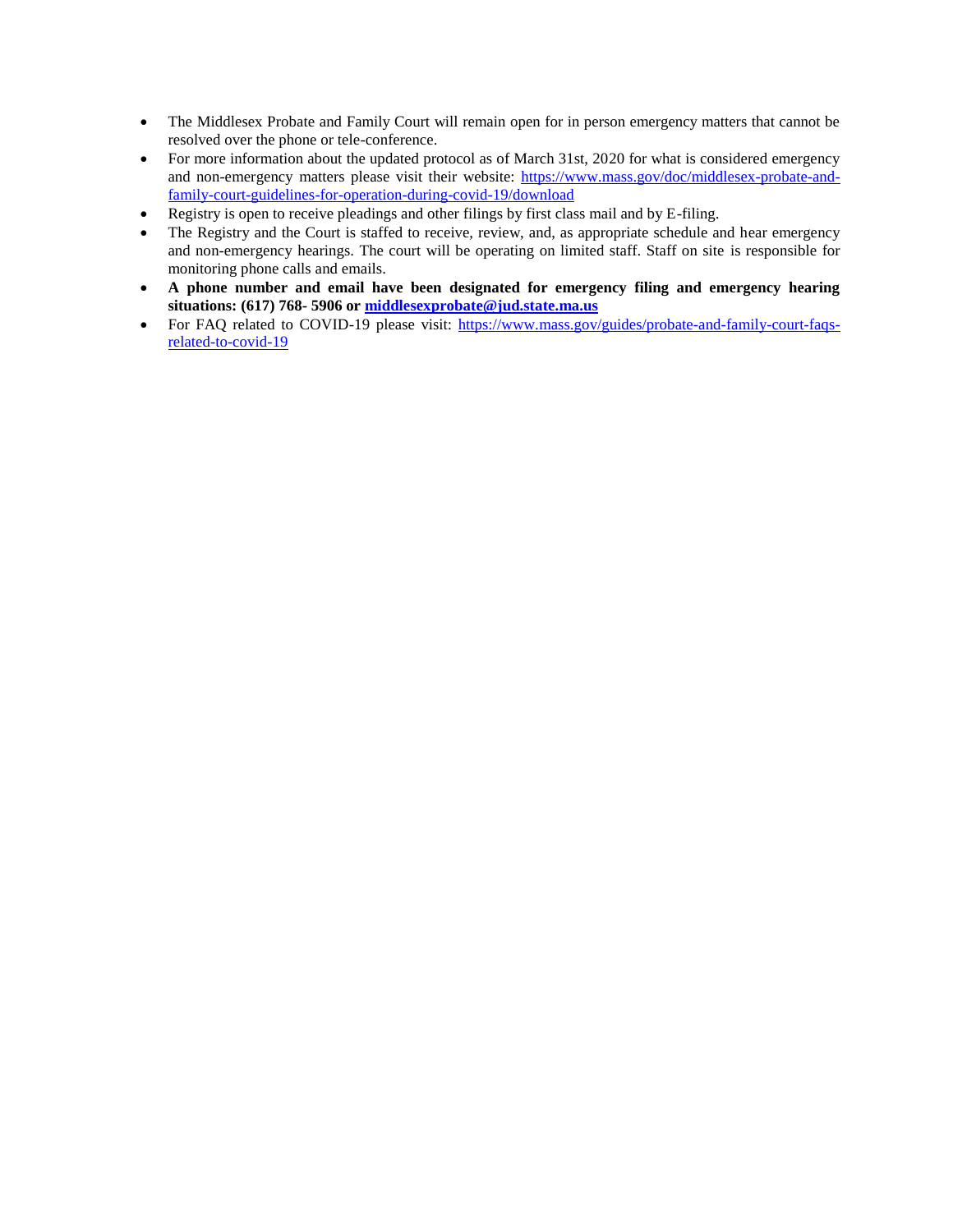- The Middlesex Probate and Family Court will remain open for in person emergency matters that cannot be resolved over the phone or tele-conference.
- For more information about the updated protocol as of March 31st, 2020 for what is considered emergency and non-emergency matters please visit their website: [https://www.mass.gov/doc/middlesex-probate-and](https://www.mass.gov/doc/middlesex-probate-and-family-court-guidelines-for-operation-during-covid-19/download)[family-court-guidelines-for-operation-during-covid-19/download](https://www.mass.gov/doc/middlesex-probate-and-family-court-guidelines-for-operation-during-covid-19/download)
- Registry is open to receive pleadings and other filings by first class mail and by E-filing.
- The Registry and the Court is staffed to receive, review, and, as appropriate schedule and hear emergency and non-emergency hearings. The court will be operating on limited staff. Staff on site is responsible for monitoring phone calls and emails.
- **A phone number and email have been designated for emergency filing and emergency hearing situations: (617) 768- 5906 or [middlesexprobate@jud.state.ma.us](mailto:middlesexprobate@jud.state.ma.us)**
- For FAQ related to COVID-19 please visit: [https://www.mass.gov/guides/probate-and-family-court-faqs](https://www.mass.gov/guides/probate-and-family-court-faqs-related-to-covid-19)[related-to-covid-19](https://www.mass.gov/guides/probate-and-family-court-faqs-related-to-covid-19)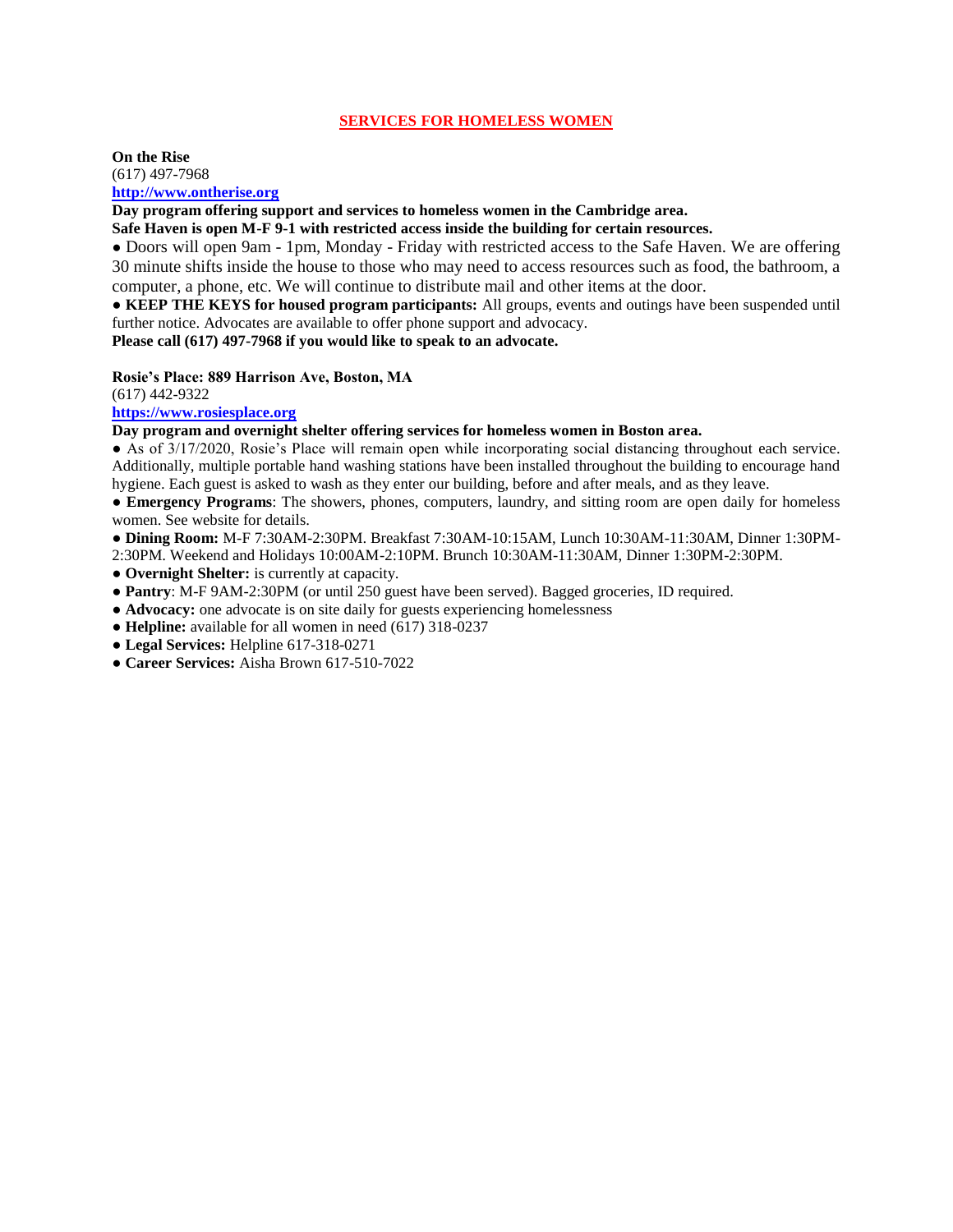#### **SERVICES FOR HOMELESS WOMEN**

#### **On the Rise** (617) 497-7968 **[http://www.ontherise.org](http://www.ontherise.org/)**

**Day program offering support and services to homeless women in the Cambridge area.**

**Safe Haven is open M-F 9-1 with restricted access inside the building for certain resources.**

● Doors will open 9am - 1pm, Monday - Friday with restricted access to the Safe Haven. We are offering 30 minute shifts inside the house to those who may need to access resources such as food, the bathroom, a computer, a phone, etc. We will continue to distribute mail and other items at the door.

**● KEEP THE KEYS for housed program participants:** All groups, events and outings have been suspended until further notice. Advocates are available to offer phone support and advocacy.

**Please call (617) 497-7968 if you would like to speak to an advocate.**

#### **Rosie's Place: 889 Harrison Ave, Boston, MA**

(617) 442-9322

**[https://www.rosiesplace.org](https://www.rosiesplace.org/)**

**Day program and overnight shelter offering services for homeless women in Boston area.**

● As of 3/17/2020, Rosie's Place will remain open while incorporating social distancing throughout each service. Additionally, multiple portable hand washing stations have been installed throughout the building to encourage hand hygiene. Each guest is asked to wash as they enter our building, before and after meals, and as they leave.

● **Emergency Programs**: The showers, phones, computers, laundry, and sitting room are open daily for homeless women. See website for details.

● **Dining Room:** M-F 7:30AM-2:30PM. Breakfast 7:30AM-10:15AM, Lunch 10:30AM-11:30AM, Dinner 1:30PM-

2:30PM. Weekend and Holidays 10:00AM-2:10PM. Brunch 10:30AM-11:30AM, Dinner 1:30PM-2:30PM.

● **Overnight Shelter:** is currently at capacity.

● **Pantry**: M-F 9AM-2:30PM (or until 250 guest have been served). Bagged groceries, ID required.

● **Advocacy:** one advocate is on site daily for guests experiencing homelessness

● **Helpline:** available for all women in need (617) 318-0237

● **Legal Services:** Helpline 617-318-0271

● **Career Services:** Aisha Brown 617-510-7022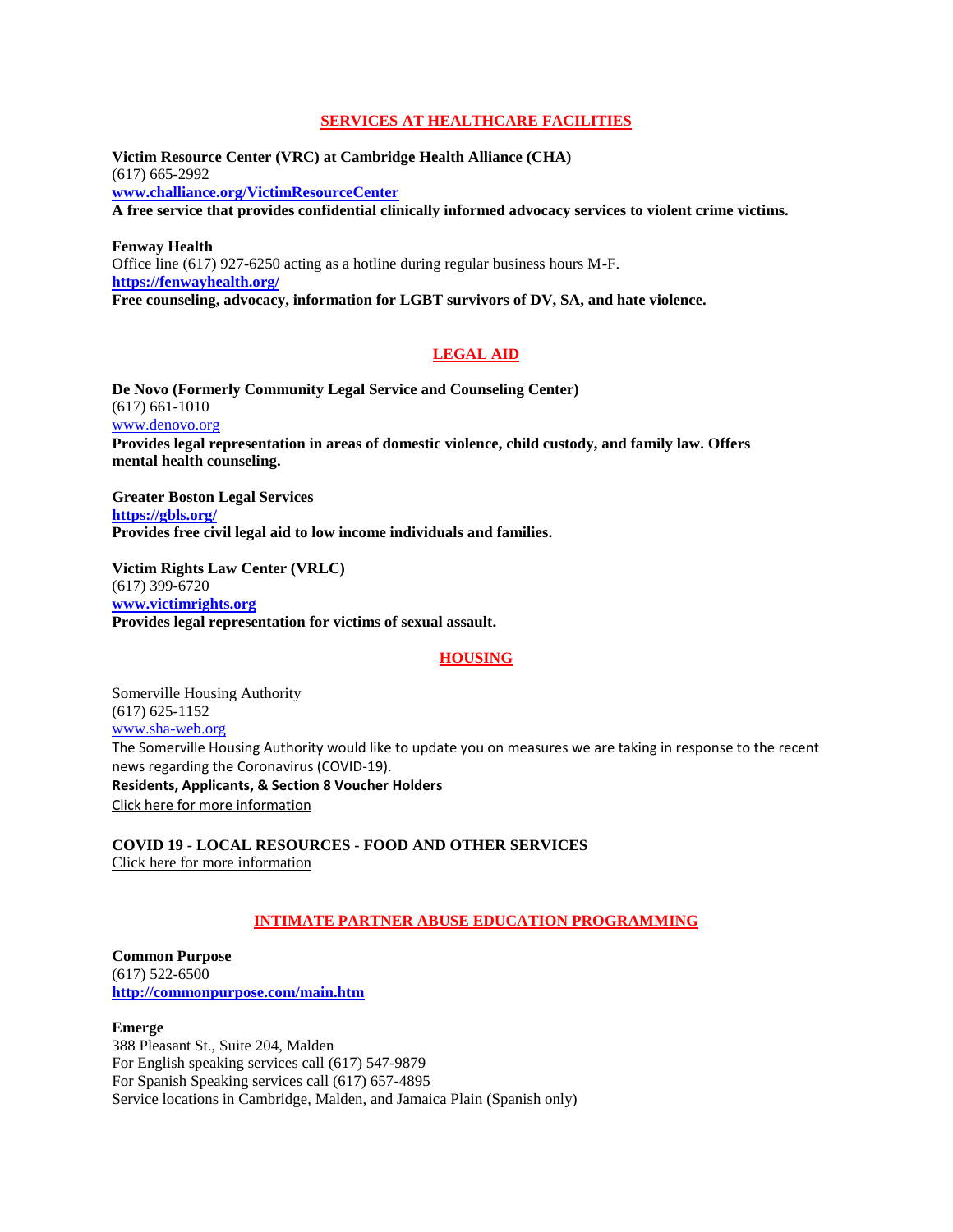### **SERVICES AT HEALTHCARE FACILITIES**

**Victim Resource Center (VRC) at Cambridge Health Alliance (CHA)** (617) 665-2992 **[www.challiance.org/VictimResourceCenter](https://www.challiance.org/VictimResourceCenter) A free service that provides confidential clinically informed advocacy services to violent crime victims.**

**Fenway Health** Office line (617) 927-6250 acting as a hotline during regular business hours M-F. **<https://fenwayhealth.org/> Free counseling, advocacy, information for LGBT survivors of DV, SA, and hate violence.**

# **LEGAL AID**

**De Novo (Formerly Community Legal Service and Counseling Center)** (617) 661-1010 [www.denovo.org](https://www.denovo.org/) **Provides legal representation in areas of domestic violence, child custody, and family law. Offers mental health counseling.**

**Greater Boston Legal Services <https://gbls.org/> Provides free civil legal aid to low income individuals and families.**

**Victim Rights Law Center (VRLC)** (617) 399-6720 **[www.victimrights.org](https://www.victimrights.org/) Provides legal representation for victims of sexual assault.**

#### **HOUSING**

Somerville Housing Authority (617) 625-1152 [www.sha-web.org](http://www.sha-web.org/default.aspx) The Somerville Housing Authority would like to update you on measures we are taking in response to the recent news regarding the Coronavirus (COVID-19). **Residents, Applicants, & Section 8 Voucher Holders** [Click here for more information](http://www.sha-web.org/covid.aspx)

**COVID 19 - LOCAL RESOURCES - FOOD AND OTHER SERVICES** [Click here for more information](http://www.sha-web.org/documents/COVID/resources.pdf)

# **INTIMATE PARTNER ABUSE EDUCATION PROGRAMMING**

**Common Purpose** (617) 522-6500 **<http://commonpurpose.com/main.htm>**

#### **Emerge**

388 Pleasant St., Suite 204, Malden For English speaking services call (617) 547-9879 For Spanish Speaking services call (617) 657-4895 Service locations in Cambridge, Malden, and Jamaica Plain (Spanish only)